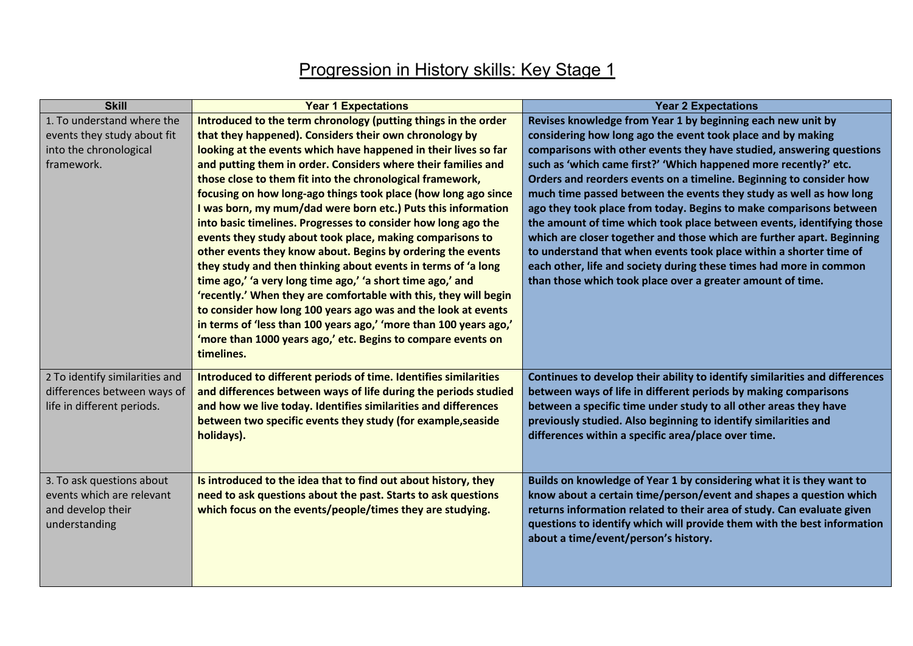## Progression in History skills: Key Stage 1

| <b>Skill</b>                   | <b>Year 1 Expectations</b>                                        | <b>Year 2 Expectations</b>                                                  |
|--------------------------------|-------------------------------------------------------------------|-----------------------------------------------------------------------------|
| 1. To understand where the     | Introduced to the term chronology (putting things in the order    | Revises knowledge from Year 1 by beginning each new unit by                 |
| events they study about fit    | that they happened). Considers their own chronology by            | considering how long ago the event took place and by making                 |
| into the chronological         | looking at the events which have happened in their lives so far   | comparisons with other events they have studied, answering questions        |
| framework.                     | and putting them in order. Considers where their families and     | such as 'which came first?' 'Which happened more recently?' etc.            |
|                                | those close to them fit into the chronological framework,         | Orders and reorders events on a timeline. Beginning to consider how         |
|                                | focusing on how long-ago things took place (how long ago since    | much time passed between the events they study as well as how long          |
|                                | I was born, my mum/dad were born etc.) Puts this information      | ago they took place from today. Begins to make comparisons between          |
|                                | into basic timelines. Progresses to consider how long ago the     | the amount of time which took place between events, identifying those       |
|                                | events they study about took place, making comparisons to         | which are closer together and those which are further apart. Beginning      |
|                                | other events they know about. Begins by ordering the events       | to understand that when events took place within a shorter time of          |
|                                | they study and then thinking about events in terms of 'a long     | each other, life and society during these times had more in common          |
|                                | time ago,' 'a very long time ago,' 'a short time ago,' and        | than those which took place over a greater amount of time.                  |
|                                | 'recently.' When they are comfortable with this, they will begin  |                                                                             |
|                                | to consider how long 100 years ago was and the look at events     |                                                                             |
|                                | in terms of 'less than 100 years ago,' 'more than 100 years ago,' |                                                                             |
|                                | 'more than 1000 years ago,' etc. Begins to compare events on      |                                                                             |
|                                | timelines.                                                        |                                                                             |
| 2 To identify similarities and | Introduced to different periods of time. Identifies similarities  | Continues to develop their ability to identify similarities and differences |
| differences between ways of    | and differences between ways of life during the periods studied   | between ways of life in different periods by making comparisons             |
| life in different periods.     | and how we live today. Identifies similarities and differences    | between a specific time under study to all other areas they have            |
|                                | between two specific events they study (for example, seaside      | previously studied. Also beginning to identify similarities and             |
|                                | holidays).                                                        | differences within a specific area/place over time.                         |
|                                |                                                                   |                                                                             |
|                                |                                                                   |                                                                             |
| 3. To ask questions about      | Is introduced to the idea that to find out about history, they    | Builds on knowledge of Year 1 by considering what it is they want to        |
| events which are relevant      | need to ask questions about the past. Starts to ask questions     | know about a certain time/person/event and shapes a question which          |
| and develop their              | which focus on the events/people/times they are studying.         | returns information related to their area of study. Can evaluate given      |
| understanding                  |                                                                   | questions to identify which will provide them with the best information     |
|                                |                                                                   | about a time/event/person's history.                                        |
|                                |                                                                   |                                                                             |
|                                |                                                                   |                                                                             |
|                                |                                                                   |                                                                             |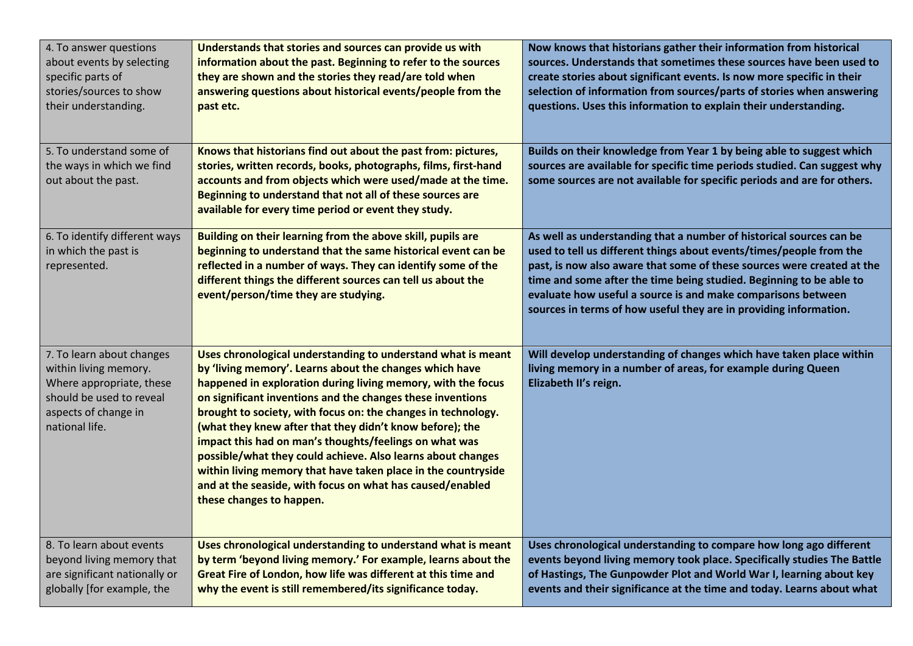| 4. To answer questions<br>about events by selecting<br>specific parts of<br>stories/sources to show<br>their understanding.                          | Understands that stories and sources can provide us with<br>information about the past. Beginning to refer to the sources<br>they are shown and the stories they read/are told when<br>answering questions about historical events/people from the<br>past etc.                                                                                                                                                                                                                                                                                                                                                                                                       | Now knows that historians gather their information from historical<br>sources. Understands that sometimes these sources have been used to<br>create stories about significant events. Is now more specific in their<br>selection of information from sources/parts of stories when answering<br>questions. Uses this information to explain their understanding.                                                                 |
|------------------------------------------------------------------------------------------------------------------------------------------------------|-----------------------------------------------------------------------------------------------------------------------------------------------------------------------------------------------------------------------------------------------------------------------------------------------------------------------------------------------------------------------------------------------------------------------------------------------------------------------------------------------------------------------------------------------------------------------------------------------------------------------------------------------------------------------|----------------------------------------------------------------------------------------------------------------------------------------------------------------------------------------------------------------------------------------------------------------------------------------------------------------------------------------------------------------------------------------------------------------------------------|
| 5. To understand some of<br>the ways in which we find<br>out about the past.                                                                         | Knows that historians find out about the past from: pictures,<br>stories, written records, books, photographs, films, first-hand<br>accounts and from objects which were used/made at the time.<br>Beginning to understand that not all of these sources are<br>available for every time period or event they study.                                                                                                                                                                                                                                                                                                                                                  | Builds on their knowledge from Year 1 by being able to suggest which<br>sources are available for specific time periods studied. Can suggest why<br>some sources are not available for specific periods and are for others.                                                                                                                                                                                                      |
| 6. To identify different ways<br>in which the past is<br>represented.                                                                                | Building on their learning from the above skill, pupils are<br>beginning to understand that the same historical event can be<br>reflected in a number of ways. They can identify some of the<br>different things the different sources can tell us about the<br>event/person/time they are studying.                                                                                                                                                                                                                                                                                                                                                                  | As well as understanding that a number of historical sources can be<br>used to tell us different things about events/times/people from the<br>past, is now also aware that some of these sources were created at the<br>time and some after the time being studied. Beginning to be able to<br>evaluate how useful a source is and make comparisons between<br>sources in terms of how useful they are in providing information. |
| 7. To learn about changes<br>within living memory.<br>Where appropriate, these<br>should be used to reveal<br>aspects of change in<br>national life. | Uses chronological understanding to understand what is meant<br>by 'living memory'. Learns about the changes which have<br>happened in exploration during living memory, with the focus<br>on significant inventions and the changes these inventions<br>brought to society, with focus on: the changes in technology.<br>(what they knew after that they didn't know before); the<br>impact this had on man's thoughts/feelings on what was<br>possible/what they could achieve. Also learns about changes<br>within living memory that have taken place in the countryside<br>and at the seaside, with focus on what has caused/enabled<br>these changes to happen. | Will develop understanding of changes which have taken place within<br>living memory in a number of areas, for example during Queen<br>Elizabeth II's reign.                                                                                                                                                                                                                                                                     |
| 8. To learn about events<br>beyond living memory that<br>are significant nationally or<br>globally [for example, the                                 | Uses chronological understanding to understand what is meant<br>by term 'beyond living memory.' For example, learns about the<br>Great Fire of London, how life was different at this time and<br>why the event is still remembered/its significance today.                                                                                                                                                                                                                                                                                                                                                                                                           | Uses chronological understanding to compare how long ago different<br>events beyond living memory took place. Specifically studies The Battle<br>of Hastings, The Gunpowder Plot and World War I, learning about key<br>events and their significance at the time and today. Learns about what                                                                                                                                   |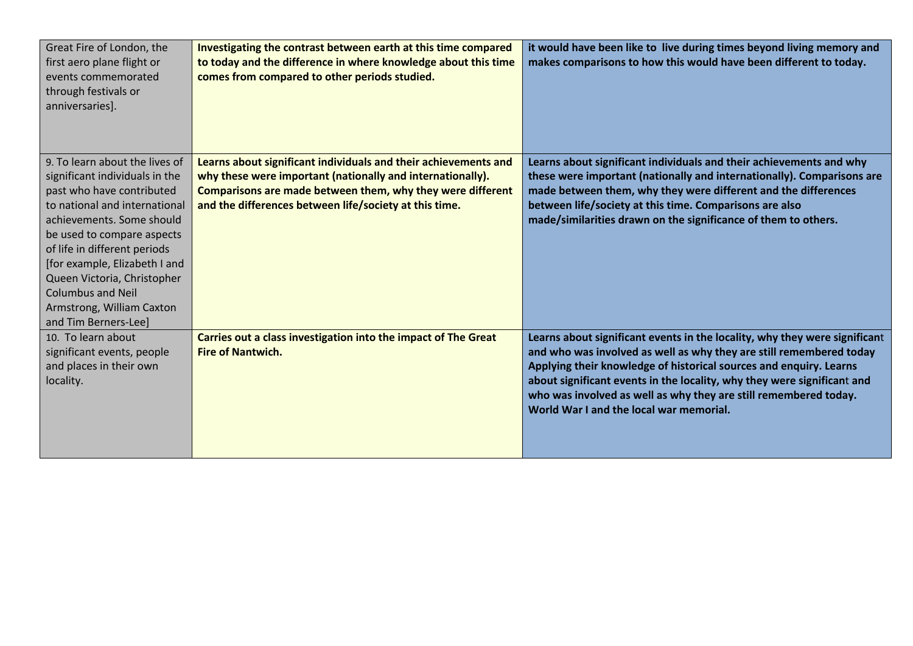| Great Fire of London, the<br>first aero plane flight or<br>events commemorated<br>through festivals or<br>anniversaries].                                                                                                                                                                                                                                                  | Investigating the contrast between earth at this time compared<br>to today and the difference in where knowledge about this time<br>comes from compared to other periods studied.                                                                     | it would have been like to live during times beyond living memory and<br>makes comparisons to how this would have been different to today.                                                                                                                                                                                                                                                                        |
|----------------------------------------------------------------------------------------------------------------------------------------------------------------------------------------------------------------------------------------------------------------------------------------------------------------------------------------------------------------------------|-------------------------------------------------------------------------------------------------------------------------------------------------------------------------------------------------------------------------------------------------------|-------------------------------------------------------------------------------------------------------------------------------------------------------------------------------------------------------------------------------------------------------------------------------------------------------------------------------------------------------------------------------------------------------------------|
| 9. To learn about the lives of<br>significant individuals in the<br>past who have contributed<br>to national and international<br>achievements. Some should<br>be used to compare aspects<br>of life in different periods<br>[for example, Elizabeth I and<br>Queen Victoria, Christopher<br><b>Columbus and Neil</b><br>Armstrong, William Caxton<br>and Tim Berners-Lee] | Learns about significant individuals and their achievements and<br>why these were important (nationally and internationally).<br>Comparisons are made between them, why they were different<br>and the differences between life/society at this time. | Learns about significant individuals and their achievements and why<br>these were important (nationally and internationally). Comparisons are<br>made between them, why they were different and the differences<br>between life/society at this time. Comparisons are also<br>made/similarities drawn on the significance of them to others.                                                                      |
| 10. To learn about<br>significant events, people<br>and places in their own<br>locality.                                                                                                                                                                                                                                                                                   | Carries out a class investigation into the impact of The Great<br><b>Fire of Nantwich.</b>                                                                                                                                                            | Learns about significant events in the locality, why they were significant<br>and who was involved as well as why they are still remembered today<br>Applying their knowledge of historical sources and enquiry. Learns<br>about significant events in the locality, why they were significant and<br>who was involved as well as why they are still remembered today.<br>World War I and the local war memorial. |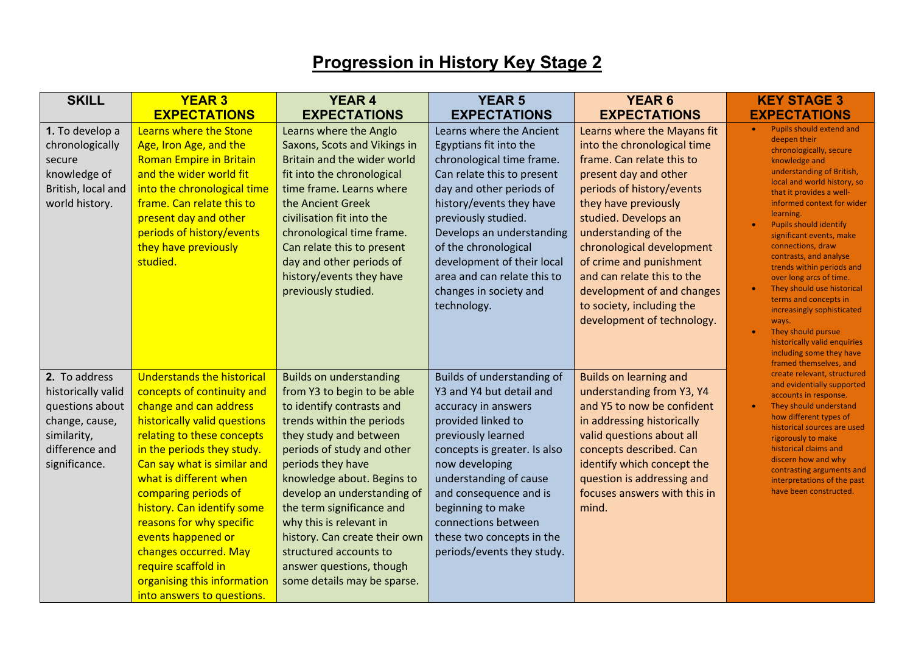## **Progression in History Key Stage 2**

| <b>SKILL</b>                                                                                                               | <b>YEAR 3</b>                                                                                                                                                                                                                                                                                                                                                                                                                                                       | <b>YEAR 4</b>                                                                                                                                                                                                                                                                                                                                                                                                                                   | <b>YEAR 5</b>                                                                                                                                                                                                                                                                                                                                           | <b>YEAR 6</b>                                                                                                                                                                                                                                                                                                                                                                                        | <b>KEY STAGE 3</b>                                                                                                                                                                                                                                                                                                                                                                                                                                                                                                                                                                                    |
|----------------------------------------------------------------------------------------------------------------------------|---------------------------------------------------------------------------------------------------------------------------------------------------------------------------------------------------------------------------------------------------------------------------------------------------------------------------------------------------------------------------------------------------------------------------------------------------------------------|-------------------------------------------------------------------------------------------------------------------------------------------------------------------------------------------------------------------------------------------------------------------------------------------------------------------------------------------------------------------------------------------------------------------------------------------------|---------------------------------------------------------------------------------------------------------------------------------------------------------------------------------------------------------------------------------------------------------------------------------------------------------------------------------------------------------|------------------------------------------------------------------------------------------------------------------------------------------------------------------------------------------------------------------------------------------------------------------------------------------------------------------------------------------------------------------------------------------------------|-------------------------------------------------------------------------------------------------------------------------------------------------------------------------------------------------------------------------------------------------------------------------------------------------------------------------------------------------------------------------------------------------------------------------------------------------------------------------------------------------------------------------------------------------------------------------------------------------------|
|                                                                                                                            | <b>EXPECTATIONS</b>                                                                                                                                                                                                                                                                                                                                                                                                                                                 | <b>EXPECTATIONS</b>                                                                                                                                                                                                                                                                                                                                                                                                                             | <b>EXPECTATIONS</b>                                                                                                                                                                                                                                                                                                                                     | <b>EXPECTATIONS</b>                                                                                                                                                                                                                                                                                                                                                                                  | <b>EXPECTATIONS</b>                                                                                                                                                                                                                                                                                                                                                                                                                                                                                                                                                                                   |
| 1. To develop a<br>chronologically<br>secure<br>knowledge of<br>British, local and<br>world history.                       | Learns where the Stone<br>Age, Iron Age, and the<br><b>Roman Empire in Britain</b><br>and the wider world fit<br>into the chronological time<br>frame. Can relate this to<br>present day and other<br>periods of history/events<br>they have previously<br>studied.                                                                                                                                                                                                 | Learns where the Anglo<br>Saxons, Scots and Vikings in<br>Britain and the wider world<br>fit into the chronological<br>time frame. Learns where<br>the Ancient Greek<br>civilisation fit into the<br>chronological time frame.<br>Can relate this to present<br>day and other periods of<br>history/events they have<br>previously studied.                                                                                                     | Learns where the Ancient<br>Egyptians fit into the<br>chronological time frame.<br>Can relate this to present<br>day and other periods of<br>history/events they have<br>previously studied.<br>Develops an understanding<br>of the chronological<br>development of their local<br>area and can relate this to<br>changes in society and<br>technology. | Learns where the Mayans fit<br>into the chronological time<br>frame. Can relate this to<br>present day and other<br>periods of history/events<br>they have previously<br>studied. Develops an<br>understanding of the<br>chronological development<br>of crime and punishment<br>and can relate this to the<br>development of and changes<br>to society, including the<br>development of technology. | Pupils should extend and<br>$\bullet$<br>deepen their<br>chronologically, secure<br>knowledge and<br>understanding of British,<br>local and world history, so<br>that it provides a well-<br>informed context for wider<br>learning.<br><b>Pupils should identify</b><br>significant events, make<br>connections, draw<br>contrasts, and analyse<br>trends within periods and<br>over long arcs of time.<br>They should use historical<br>terms and concepts in<br>increasingly sophisticated<br>ways.<br>They should pursue<br>$\bullet$<br>historically valid enquiries<br>including some they have |
| 2. To address<br>historically valid<br>questions about<br>change, cause,<br>similarity,<br>difference and<br>significance. | <b>Understands the historical</b><br>concepts of continuity and<br>change and can address<br>historically valid questions<br>relating to these concepts<br>in the periods they study.<br>Can say what is similar and<br>what is different when<br>comparing periods of<br>history. Can identify some<br>reasons for why specific<br>events happened or<br>changes occurred. May<br>require scaffold in<br>organising this information<br>into answers to questions. | <b>Builds on understanding</b><br>from Y3 to begin to be able<br>to identify contrasts and<br>trends within the periods<br>they study and between<br>periods of study and other<br>periods they have<br>knowledge about. Begins to<br>develop an understanding of<br>the term significance and<br>why this is relevant in<br>history. Can create their own<br>structured accounts to<br>answer questions, though<br>some details may be sparse. | Builds of understanding of<br>Y3 and Y4 but detail and<br>accuracy in answers<br>provided linked to<br>previously learned<br>concepts is greater. Is also<br>now developing<br>understanding of cause<br>and consequence and is<br>beginning to make<br>connections between<br>these two concepts in the<br>periods/events they study.                  | <b>Builds on learning and</b><br>understanding from Y3, Y4<br>and Y5 to now be confident<br>in addressing historically<br>valid questions about all<br>concepts described. Can<br>identify which concept the<br>question is addressing and<br>focuses answers with this in<br>mind.                                                                                                                  | framed themselves, and<br>create relevant, structured<br>and evidentially supported<br>accounts in response.<br>They should understand<br>how different types of<br>historical sources are used<br>rigorously to make<br>historical claims and<br>discern how and why<br>contrasting arguments and<br>interpretations of the past<br>have been constructed.                                                                                                                                                                                                                                           |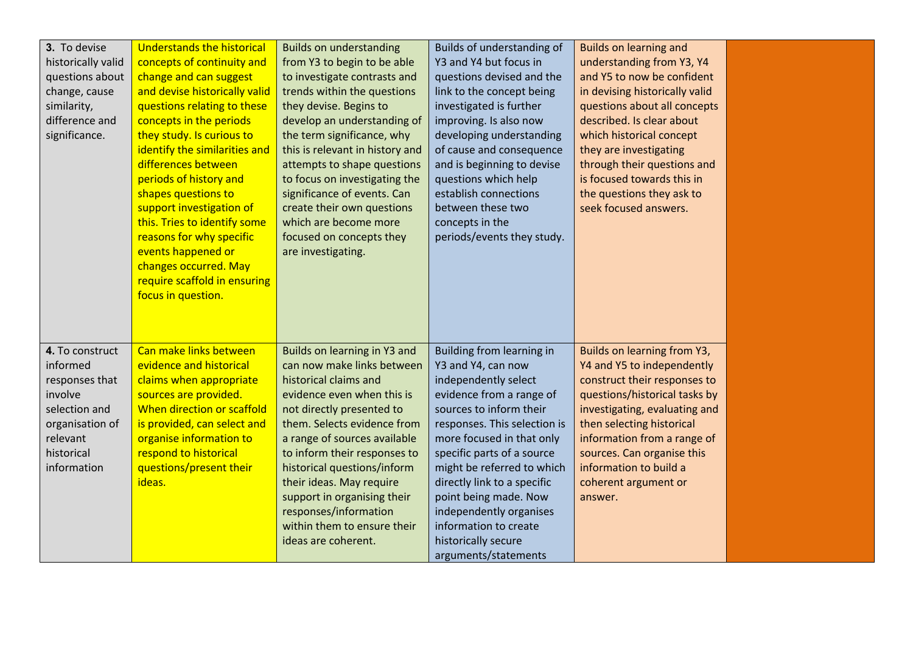| 3. To devise<br>historically valid<br>questions about<br>change, cause<br>similarity,<br>difference and<br>significance.              | <b>Understands the historical</b><br>concepts of continuity and<br>change and can suggest<br>and devise historically valid<br>questions relating to these<br>concepts in the periods<br>they study. Is curious to<br>identify the similarities and<br>differences between<br>periods of history and<br>shapes questions to<br>support investigation of<br>this. Tries to identify some<br>reasons for why specific<br>events happened or<br>changes occurred. May<br>require scaffold in ensuring<br>focus in question. | <b>Builds on understanding</b><br>from Y3 to begin to be able<br>to investigate contrasts and<br>trends within the questions<br>they devise. Begins to<br>develop an understanding of<br>the term significance, why<br>this is relevant in history and<br>attempts to shape questions<br>to focus on investigating the<br>significance of events. Can<br>create their own questions<br>which are become more<br>focused on concepts they<br>are investigating. | Builds of understanding of<br>Y3 and Y4 but focus in<br>questions devised and the<br>link to the concept being<br>investigated is further<br>improving. Is also now<br>developing understanding<br>of cause and consequence<br>and is beginning to devise<br>questions which help<br>establish connections<br>between these two<br>concepts in the<br>periods/events they study.                                   | <b>Builds on learning and</b><br>understanding from Y3, Y4<br>and Y5 to now be confident<br>in devising historically valid<br>questions about all concepts<br>described. Is clear about<br>which historical concept<br>they are investigating<br>through their questions and<br>is focused towards this in<br>the questions they ask to<br>seek focused answers. |  |
|---------------------------------------------------------------------------------------------------------------------------------------|-------------------------------------------------------------------------------------------------------------------------------------------------------------------------------------------------------------------------------------------------------------------------------------------------------------------------------------------------------------------------------------------------------------------------------------------------------------------------------------------------------------------------|----------------------------------------------------------------------------------------------------------------------------------------------------------------------------------------------------------------------------------------------------------------------------------------------------------------------------------------------------------------------------------------------------------------------------------------------------------------|--------------------------------------------------------------------------------------------------------------------------------------------------------------------------------------------------------------------------------------------------------------------------------------------------------------------------------------------------------------------------------------------------------------------|------------------------------------------------------------------------------------------------------------------------------------------------------------------------------------------------------------------------------------------------------------------------------------------------------------------------------------------------------------------|--|
| 4. To construct<br>informed<br>responses that<br>involve<br>selection and<br>organisation of<br>relevant<br>historical<br>information | Can make links between<br>evidence and historical<br>claims when appropriate<br>sources are provided.<br>When direction or scaffold<br>is provided, can select and<br>organise information to<br>respond to historical<br>questions/present their<br>ideas.                                                                                                                                                                                                                                                             | Builds on learning in Y3 and<br>can now make links between<br>historical claims and<br>evidence even when this is<br>not directly presented to<br>them. Selects evidence from<br>a range of sources available<br>to inform their responses to<br>historical questions/inform<br>their ideas. May require<br>support in organising their<br>responses/information<br>within them to ensure their<br>ideas are coherent.                                         | Building from learning in<br>Y3 and Y4, can now<br>independently select<br>evidence from a range of<br>sources to inform their<br>responses. This selection is<br>more focused in that only<br>specific parts of a source<br>might be referred to which<br>directly link to a specific<br>point being made. Now<br>independently organises<br>information to create<br>historically secure<br>arguments/statements | Builds on learning from Y3,<br>Y4 and Y5 to independently<br>construct their responses to<br>questions/historical tasks by<br>investigating, evaluating and<br>then selecting historical<br>information from a range of<br>sources. Can organise this<br>information to build a<br>coherent argument or<br>answer.                                               |  |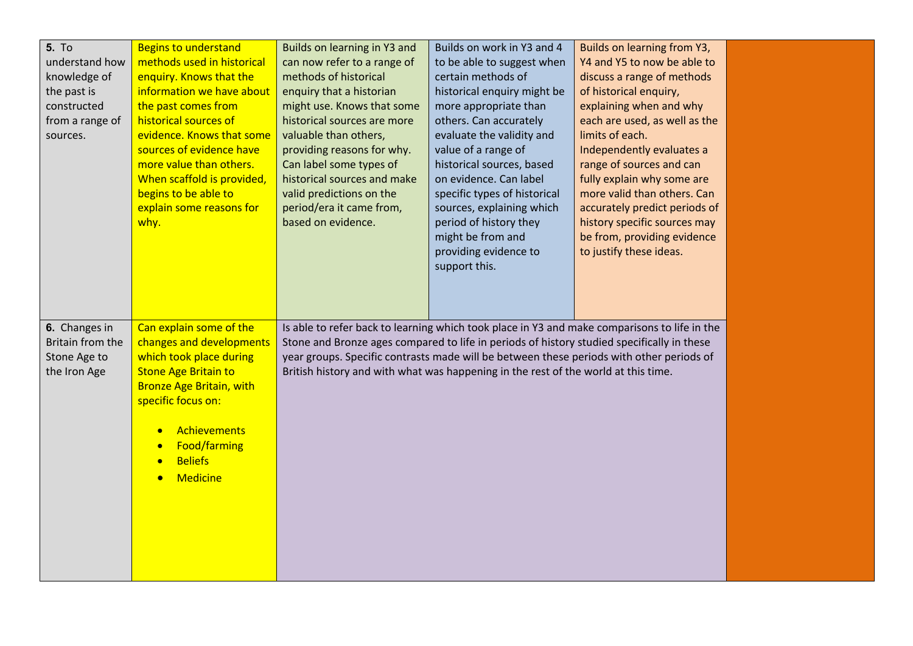| <b>5. To</b><br>understand how<br>knowledge of<br>the past is<br>constructed<br>from a range of<br>sources. | <b>Begins to understand</b><br>methods used in historical<br>enquiry. Knows that the<br>information we have about<br>the past comes from<br>historical sources of<br>evidence. Knows that some<br>sources of evidence have<br>more value than others.<br>When scaffold is provided,<br>begins to be able to<br>explain some reasons for<br>why. | Builds on learning in Y3 and<br>can now refer to a range of<br>methods of historical<br>enquiry that a historian<br>might use. Knows that some<br>historical sources are more<br>valuable than others,<br>providing reasons for why.<br>Can label some types of<br>historical sources and make<br>valid predictions on the<br>period/era it came from,<br>based on evidence. | Builds on work in Y3 and 4<br>to be able to suggest when<br>certain methods of<br>historical enquiry might be<br>more appropriate than<br>others. Can accurately<br>evaluate the validity and<br>value of a range of<br>historical sources, based<br>on evidence. Can label<br>specific types of historical<br>sources, explaining which<br>period of history they<br>might be from and<br>providing evidence to<br>support this. | Builds on learning from Y3,<br>Y4 and Y5 to now be able to<br>discuss a range of methods<br>of historical enquiry,<br>explaining when and why<br>each are used, as well as the<br>limits of each.<br>Independently evaluates a<br>range of sources and can<br>fully explain why some are<br>more valid than others. Can<br>accurately predict periods of<br>history specific sources may<br>be from, providing evidence<br>to justify these ideas. |  |
|-------------------------------------------------------------------------------------------------------------|-------------------------------------------------------------------------------------------------------------------------------------------------------------------------------------------------------------------------------------------------------------------------------------------------------------------------------------------------|------------------------------------------------------------------------------------------------------------------------------------------------------------------------------------------------------------------------------------------------------------------------------------------------------------------------------------------------------------------------------|-----------------------------------------------------------------------------------------------------------------------------------------------------------------------------------------------------------------------------------------------------------------------------------------------------------------------------------------------------------------------------------------------------------------------------------|----------------------------------------------------------------------------------------------------------------------------------------------------------------------------------------------------------------------------------------------------------------------------------------------------------------------------------------------------------------------------------------------------------------------------------------------------|--|
| 6. Changes in<br>Britain from the<br>Stone Age to<br>the Iron Age                                           | Can explain some of the<br>changes and developments<br>which took place during<br><b>Stone Age Britain to</b><br><b>Bronze Age Britain, with</b><br>specific focus on:<br><b>Achievements</b><br>$\bullet$<br><b>Food/farming</b><br>$\bullet$<br><b>Beliefs</b><br>$\bullet$<br><b>Medicine</b><br>$\bullet$                                   | Stone and Bronze ages compared to life in periods of history studied specifically in these<br>year groups. Specific contrasts made will be between these periods with other periods of<br>British history and with what was happening in the rest of the world at this time.                                                                                                 |                                                                                                                                                                                                                                                                                                                                                                                                                                   | Is able to refer back to learning which took place in Y3 and make comparisons to life in the                                                                                                                                                                                                                                                                                                                                                       |  |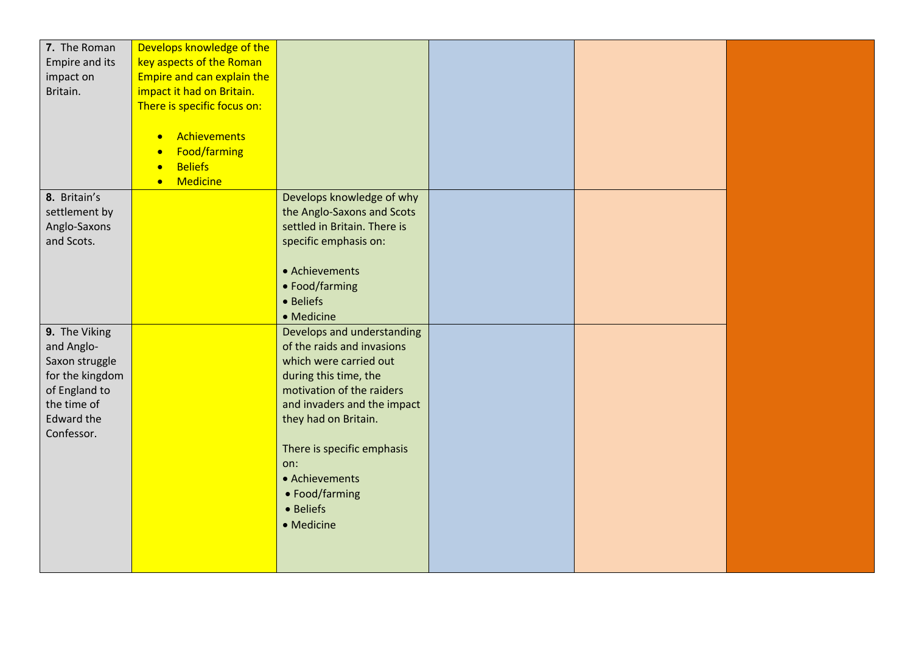| 7. The Roman    | Develops knowledge of the    |                              |  |  |
|-----------------|------------------------------|------------------------------|--|--|
| Empire and its  | key aspects of the Roman     |                              |  |  |
| impact on       | Empire and can explain the   |                              |  |  |
| Britain.        | impact it had on Britain.    |                              |  |  |
|                 | There is specific focus on:  |                              |  |  |
|                 |                              |                              |  |  |
|                 | Achievements<br>$\bullet$    |                              |  |  |
|                 | Food/farming<br>$\bullet$    |                              |  |  |
|                 | <b>Beliefs</b><br>$\bullet$  |                              |  |  |
|                 | <b>Medicine</b><br>$\bullet$ |                              |  |  |
| 8. Britain's    |                              | Develops knowledge of why    |  |  |
| settlement by   |                              | the Anglo-Saxons and Scots   |  |  |
| Anglo-Saxons    |                              | settled in Britain. There is |  |  |
| and Scots.      |                              | specific emphasis on:        |  |  |
|                 |                              |                              |  |  |
|                 |                              | • Achievements               |  |  |
|                 |                              | • Food/farming               |  |  |
|                 |                              | • Beliefs                    |  |  |
|                 |                              | • Medicine                   |  |  |
| 9. The Viking   |                              | Develops and understanding   |  |  |
| and Anglo-      |                              | of the raids and invasions   |  |  |
| Saxon struggle  |                              | which were carried out       |  |  |
| for the kingdom |                              | during this time, the        |  |  |
| of England to   |                              | motivation of the raiders    |  |  |
| the time of     |                              | and invaders and the impact  |  |  |
| Edward the      |                              | they had on Britain.         |  |  |
| Confessor.      |                              |                              |  |  |
|                 |                              | There is specific emphasis   |  |  |
|                 |                              | on:                          |  |  |
|                 |                              | • Achievements               |  |  |
|                 |                              | • Food/farming               |  |  |
|                 |                              | • Beliefs                    |  |  |
|                 |                              | • Medicine                   |  |  |
|                 |                              |                              |  |  |
|                 |                              |                              |  |  |
|                 |                              |                              |  |  |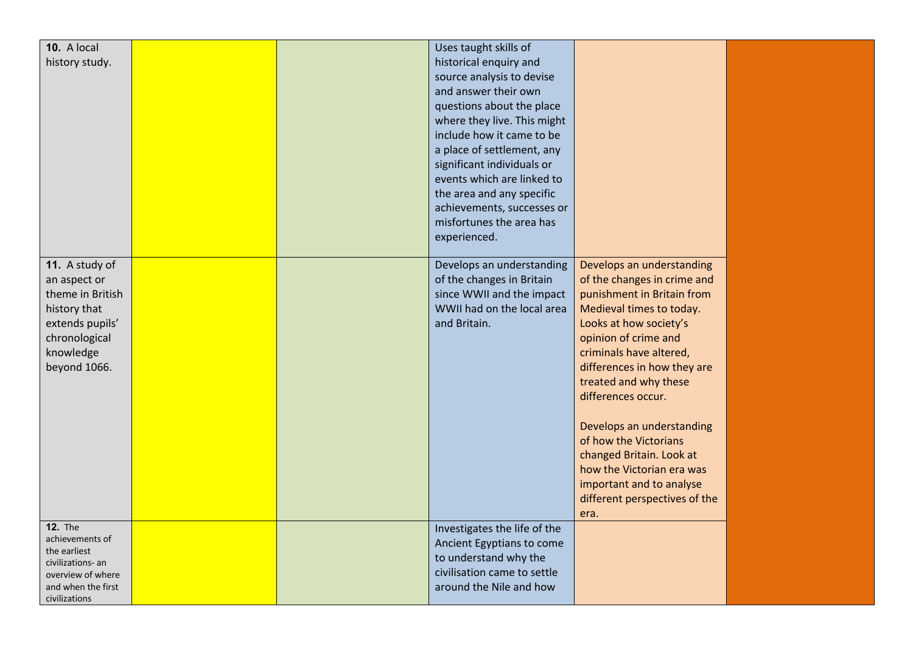| 10. A local<br>history study.                                                                                                       |  | Uses taught skills of<br>historical enquiry and<br>source analysis to devise                                                      |                                                                                                                                                                                                                                                                                                                                                                 |  |
|-------------------------------------------------------------------------------------------------------------------------------------|--|-----------------------------------------------------------------------------------------------------------------------------------|-----------------------------------------------------------------------------------------------------------------------------------------------------------------------------------------------------------------------------------------------------------------------------------------------------------------------------------------------------------------|--|
|                                                                                                                                     |  | and answer their own<br>questions about the place<br>where they live. This might                                                  |                                                                                                                                                                                                                                                                                                                                                                 |  |
|                                                                                                                                     |  | include how it came to be<br>a place of settlement, any<br>significant individuals or                                             |                                                                                                                                                                                                                                                                                                                                                                 |  |
|                                                                                                                                     |  | events which are linked to<br>the area and any specific<br>achievements, successes or                                             |                                                                                                                                                                                                                                                                                                                                                                 |  |
|                                                                                                                                     |  | misfortunes the area has<br>experienced.                                                                                          |                                                                                                                                                                                                                                                                                                                                                                 |  |
| 11. A study of<br>an aspect or<br>theme in British<br>history that<br>extends pupils'<br>chronological<br>knowledge<br>beyond 1066. |  | Develops an understanding<br>of the changes in Britain<br>since WWII and the impact<br>WWII had on the local area<br>and Britain. | Develops an understanding<br>of the changes in crime and<br>punishment in Britain from<br>Medieval times to today.<br>Looks at how society's<br>opinion of crime and<br>criminals have altered,<br>differences in how they are<br>treated and why these<br>differences occur.<br>Develops an understanding<br>of how the Victorians<br>changed Britain. Look at |  |
|                                                                                                                                     |  |                                                                                                                                   | how the Victorian era was<br>important and to analyse<br>different perspectives of the<br>era.                                                                                                                                                                                                                                                                  |  |
| <b>12. The</b><br>achievements of<br>the earliest<br>civilizations- an<br>overview of where                                         |  | Investigates the life of the<br>Ancient Egyptians to come<br>to understand why the<br>civilisation came to settle                 |                                                                                                                                                                                                                                                                                                                                                                 |  |
| and when the first<br>civilizations                                                                                                 |  | around the Nile and how                                                                                                           |                                                                                                                                                                                                                                                                                                                                                                 |  |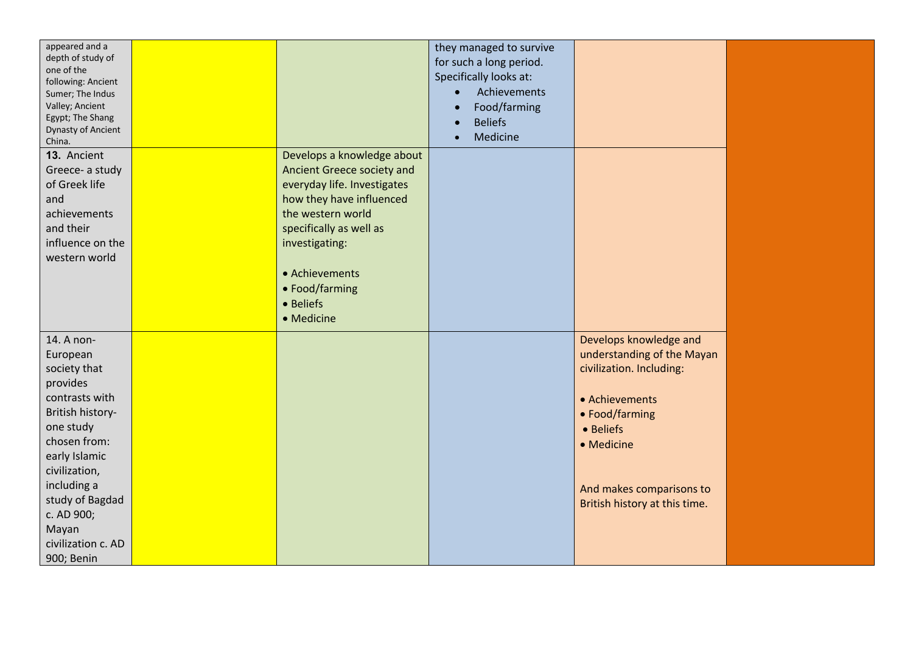| appeared and a<br>depth of study of<br>one of the<br>following: Ancient<br>Sumer; The Indus<br>Valley; Ancient<br>Egypt; The Shang<br><b>Dynasty of Ancient</b><br>China.                                                                            |                                                                                                                                                                                                                                                      | they managed to survive<br>for such a long period.<br>Specifically looks at:<br>Achievements<br>$\bullet$<br>Food/farming<br><b>Beliefs</b><br>Medicine |                                                                                                                                                                                                              |  |
|------------------------------------------------------------------------------------------------------------------------------------------------------------------------------------------------------------------------------------------------------|------------------------------------------------------------------------------------------------------------------------------------------------------------------------------------------------------------------------------------------------------|---------------------------------------------------------------------------------------------------------------------------------------------------------|--------------------------------------------------------------------------------------------------------------------------------------------------------------------------------------------------------------|--|
| 13. Ancient<br>Greece- a study<br>of Greek life<br>and<br>achievements<br>and their<br>influence on the<br>western world                                                                                                                             | Develops a knowledge about<br>Ancient Greece society and<br>everyday life. Investigates<br>how they have influenced<br>the western world<br>specifically as well as<br>investigating:<br>• Achievements<br>• Food/farming<br>• Beliefs<br>• Medicine |                                                                                                                                                         |                                                                                                                                                                                                              |  |
| 14. A non-<br>European<br>society that<br>provides<br>contrasts with<br>British history-<br>one study<br>chosen from:<br>early Islamic<br>civilization,<br>including a<br>study of Bagdad<br>c. AD 900;<br>Mayan<br>civilization c. AD<br>900; Benin |                                                                                                                                                                                                                                                      |                                                                                                                                                         | Develops knowledge and<br>understanding of the Mayan<br>civilization. Including:<br>• Achievements<br>• Food/farming<br>• Beliefs<br>• Medicine<br>And makes comparisons to<br>British history at this time. |  |